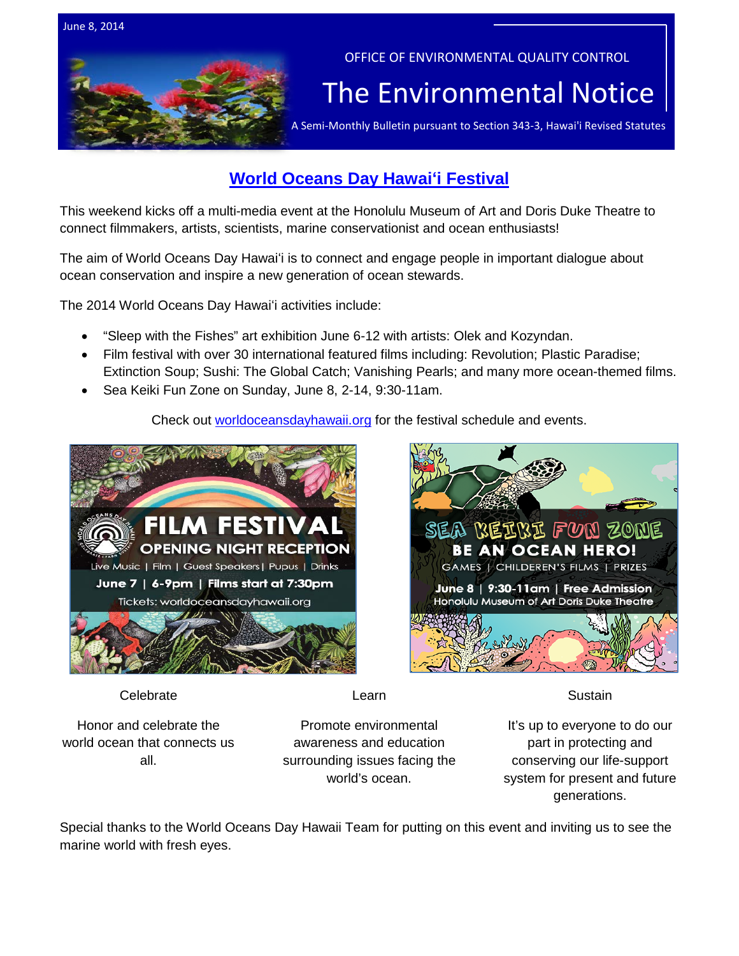

# **World Oceans Day Hawaiʻi Festival**

This weekend kicks off a multi-media event at the Honolulu Museum of Art and Doris Duke Theatre to connect filmmakers, artists, scientists, marine conservationist and ocean enthusiasts!

The aim of World Oceans Day Hawaiʻi is to connect and engage people in important dialogue about ocean conservation and inspire a new generation of ocean stewards.

The 2014 World Oceans Day Hawaiʻi activities include:

- "Sleep with the Fishes" art exhibition June 6-12 with artists: Olek and Kozyndan.
- Film festival with over 30 international featured films including: Revolution; Plastic Paradise; Extinction Soup; Sushi: The Global Catch; Vanishing Pearls; and many more ocean-themed films.
- Sea Keiki Fun Zone on Sunday, June 8, 2-14, 9:30-11am.

Check out [worldoceansdayhawaii.org](http://www.worldoceansdayhawaii.org/about/) for the festival schedule and events.



SEA BEEBE FUN ZONE **BE AN OCEAN HERO!** GAMES | CHILDEREN'S FILMS | PRIZES June 8 | 9:30-11am | Free Admission Honolulu Museum of Art Doris Duke Theatre

**Celebrate** 

Learn

**Sustain** 

Honor and celebrate the world ocean that connects us all.

Promote environmental awareness and education surrounding issues facing the world's ocean.

It's up to everyone to do our part in protecting and conserving our life-support system for present and future generations.

Special thanks to the World Oceans Day Hawaii Team for putting on this event and inviting us to see the marine world with fresh eyes.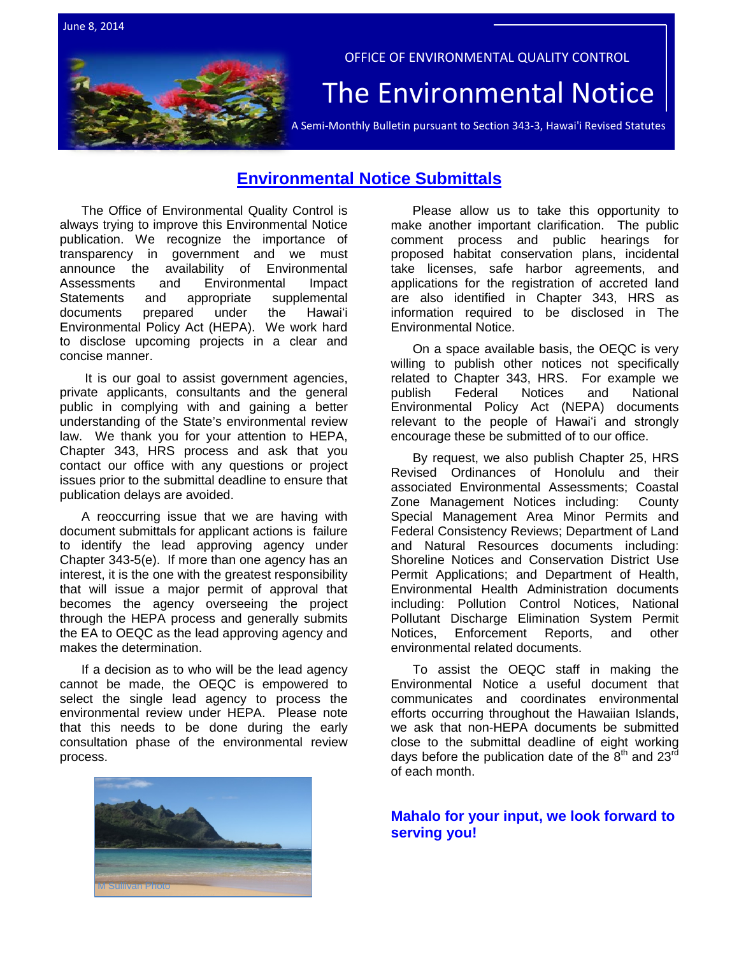

## **Environmental Notice Submittals**

The Office of Environmental Quality Control is always trying to improve this Environmental Notice publication. We recognize the importance of transparency in government and we must announce the availability of Environmental Assessments and Environmental Impact<br>Statements and appropriate supplemental and appropriate supplemental documents prepared under the Hawaiʻi Environmental Policy Act (HEPA). We work hard to disclose upcoming projects in a clear and concise manner.

It is our goal to assist government agencies, private applicants, consultants and the general public in complying with and gaining a better understanding of the State's environmental review law. We thank you for your attention to HEPA, Chapter 343, HRS process and ask that you contact our office with any questions or project issues prior to the submittal deadline to ensure that publication delays are avoided.

A reoccurring issue that we are having with document submittals for applicant actions is failure to identify the lead approving agency under Chapter 343-5(e). If more than one agency has an interest, it is the one with the greatest responsibility that will issue a major permit of approval that becomes the agency overseeing the project through the HEPA process and generally submits the EA to OEQC as the lead approving agency and makes the determination.

If a decision as to who will be the lead agency cannot be made, the OEQC is empowered to select the single lead agency to process the environmental review under HEPA. Please note that this needs to be done during the early consultation phase of the environmental review process.



Please allow us to take this opportunity to make another important clarification. The public comment process and public hearings for proposed habitat conservation plans, incidental take licenses, safe harbor agreements, and applications for the registration of accreted land are also identified in Chapter 343, HRS as information required to be disclosed in The Environmental Notice.

On a space available basis, the OEQC is very willing to publish other notices not specifically related to Chapter 343, HRS. For example we<br>publish Federal Notices and National publish Federal Notices and National Environmental Policy Act (NEPA) documents relevant to the people of Hawaiʻi and strongly encourage these be submitted of to our office.

By request, we also publish Chapter 25, HRS Revised Ordinances of Honolulu and their associated Environmental Assessments; Coastal Zone Management Notices including: County Special Management Area Minor Permits and Federal Consistency Reviews; Department of Land and Natural Resources documents including: Shoreline Notices and Conservation District Use Permit Applications; and Department of Health, Environmental Health Administration documents including: Pollution Control Notices, National Pollutant Discharge Elimination System Permit Notices, Enforcement Reports, and other environmental related documents.

To assist the OEQC staff in making the Environmental Notice a useful document that communicates and coordinates environmental efforts occurring throughout the Hawaiian Islands, we ask that non-HEPA documents be submitted close to the submittal deadline of eight working days before the publication date of the  $8<sup>th</sup>$  and 23<sup>rd</sup> of each month.

**Mahalo for your input, we look forward to serving you!**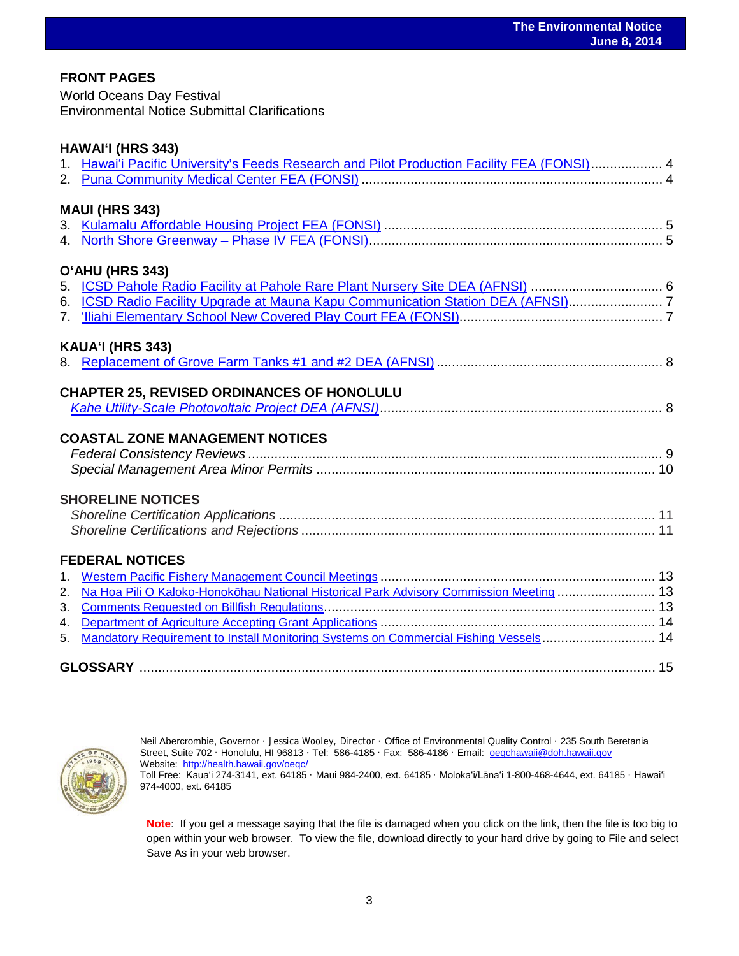## **FRONT PAGES**

World Oceans Day Festival Environmental Notice Submittal Clarifications

|    | 1. Hawai'i Pacific University's Feeds Research and Pilot Production Facility FEA (FONSI) 4 |  |
|----|--------------------------------------------------------------------------------------------|--|
|    | <b>MAUI (HRS 343)</b>                                                                      |  |
|    |                                                                                            |  |
|    |                                                                                            |  |
|    | O'AHU (HRS 343)                                                                            |  |
|    | 5. ICSD Pahole Radio Facility at Pahole Rare Plant Nursery Site DEA (AFNSI)  6             |  |
|    | 6. ICSD Radio Facility Upgrade at Mauna Kapu Communication Station DEA (AFNSI)7            |  |
|    |                                                                                            |  |
|    | KAUA'I (HRS 343)                                                                           |  |
|    |                                                                                            |  |
|    | <b>CHAPTER 25, REVISED ORDINANCES OF HONOLULU</b>                                          |  |
|    |                                                                                            |  |
|    |                                                                                            |  |
|    | <b>COASTAL ZONE MANAGEMENT NOTICES</b>                                                     |  |
|    |                                                                                            |  |
|    |                                                                                            |  |
|    | <b>SHORELINE NOTICES</b>                                                                   |  |
|    |                                                                                            |  |
|    |                                                                                            |  |
|    | <b>FEDERAL NOTICES</b>                                                                     |  |
|    |                                                                                            |  |
| 2. | Na Hoa Pili O Kaloko-Honokōhau National Historical Park Advisory Commission Meeting  13    |  |
| 3. |                                                                                            |  |
| 4. |                                                                                            |  |
| 5. | Mandatory Requirement to Install Monitoring Systems on Commercial Fishing Vessels 14       |  |
|    |                                                                                            |  |
|    |                                                                                            |  |



Neil Abercrombie, Governor · Jessica Wooley, Director · Office of Environmental Quality Control · 235 South Beretania Street, Suite 702 · Honolulu, HI 96813 ∙ Tel: 586-4185 · Fax: 586-4186 · Email: [oeqchawaii@doh.hawaii.gov](mailto:oeqchawaii@doh.hawaii.gov)  Website:<http://health.hawaii.gov/oeqc/> Toll Free: Kauaʻi 274-3141, ext. 64185 · Maui 984-2400, ext. 64185 · Molokaʻi/Lānaʻi 1-800-468-4644, ext. 64185 · Hawaiʻi 974-4000, ext. 64185

**Note**: If you get a message saying that the file is damaged when you click on the link, then the file is too big to open within your web browser. To view the file, download directly to your hard drive by going to File and select Save As in your web browser.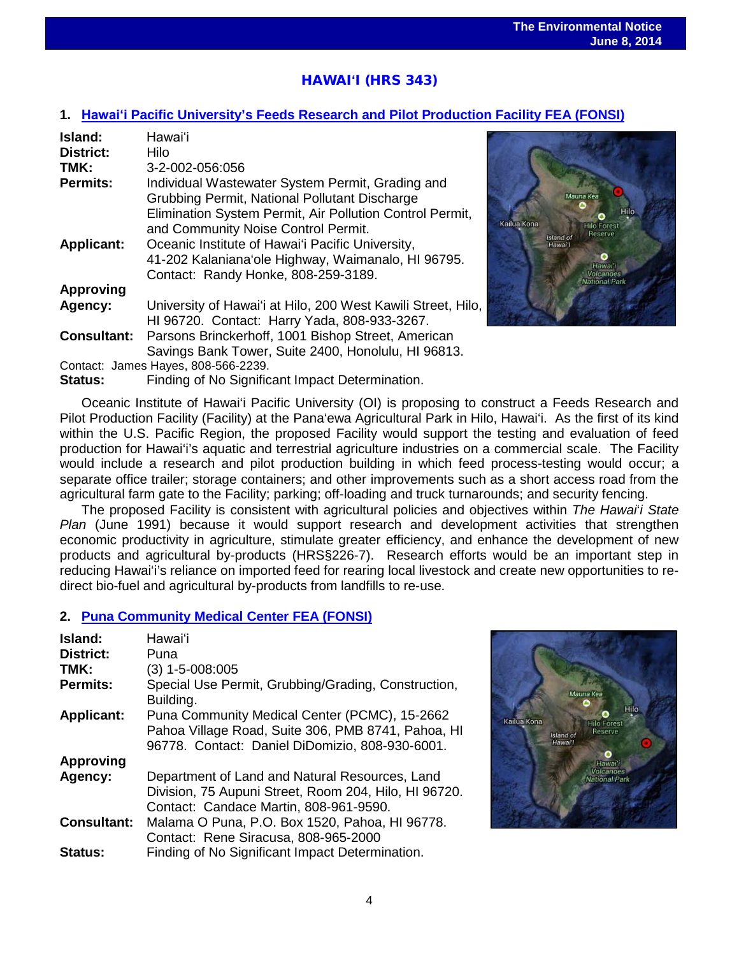# HAWAI**ʻ**I (HRS 343)

## **1. Hawaiʻi [Pacific University's Feeds Research and Pilot Production Facility FEA \(FONSI\)](http://oeqc.doh.hawaii.gov/Shared%20Documents/EA_and_EIS_Online_Library/Hawaii/2010s/2014-06-08-HA-FEA-5E-Oceanic-Institue-of-Hawaii-Pacific-Universtiy-Feeds-Research-and-Pilot-Production-Facility.pdf)**

| Island:            | Hawai'i                                                      |
|--------------------|--------------------------------------------------------------|
| <b>District:</b>   | Hilo                                                         |
| TMK:               | 3-2-002-056:056                                              |
| <b>Permits:</b>    | Individual Wastewater System Permit, Grading and             |
|                    | Grubbing Permit, National Pollutant Discharge                |
|                    | Elimination System Permit, Air Pollution Control Permit,     |
|                    | and Community Noise Control Permit.                          |
| <b>Applicant:</b>  | Oceanic Institute of Hawai'i Pacific University,             |
|                    | 41-202 Kalaniana'ole Highway, Waimanalo, HI 96795.           |
|                    | Contact: Randy Honke, 808-259-3189.                          |
| <b>Approving</b>   |                                                              |
| Agency:            | University of Hawai'i at Hilo, 200 West Kawili Street, Hilo, |
|                    | HI 96720. Contact: Harry Yada, 808-933-3267.                 |
| <b>Consultant:</b> | Parsons Brinckerhoff, 1001 Bishop Street, American           |
|                    | Savings Bank Tower, Suite 2400, Honolulu, HI 96813.          |
|                    | Contact: James Hayes, 808-566-2239.                          |

**Status:** Finding of No Significant Impact Determination.



Oceanic Institute of Hawai'i Pacific University (OI) is proposing to construct a Feeds Research and Pilot Production Facility (Facility) at the Pana'ewa Agricultural Park in Hilo, Hawai'i. As the first of its kind within the U.S. Pacific Region, the proposed Facility would support the testing and evaluation of feed production for Hawai'i's aquatic and terrestrial agriculture industries on a commercial scale. The Facility would include a research and pilot production building in which feed process-testing would occur; a separate office trailer; storage containers; and other improvements such as a short access road from the agricultural farm gate to the Facility; parking; off-loading and truck turnarounds; and security fencing.

The proposed Facility is consistent with agricultural policies and objectives within *The Hawai*'*i State Plan* (June 1991) because it would support research and development activities that strengthen economic productivity in agriculture, stimulate greater efficiency, and enhance the development of new products and agricultural by-products (HRS§226-7). Research efforts would be an important step in reducing Hawai'i's reliance on imported feed for rearing local livestock and create new opportunities to redirect bio-fuel and agricultural by-products from landfills to re-use.

## **2. [Puna Community Medical Center FEA \(FONSI\)](http://oeqc.doh.hawaii.gov/Shared%20Documents/EA_and_EIS_Online_Library/Hawaii/2010s/2014-06-08-HA-FEA-5E-Puna-Community-Medical-Center.pdf)**

| Island:            | Hawai'i                                                                                                                                                |
|--------------------|--------------------------------------------------------------------------------------------------------------------------------------------------------|
| <b>District:</b>   | Puna                                                                                                                                                   |
| TMK:               | $(3)$ 1-5-008:005                                                                                                                                      |
| <b>Permits:</b>    | Special Use Permit, Grubbing/Grading, Construction,<br>Building.                                                                                       |
| <b>Applicant:</b>  | Puna Community Medical Center (PCMC), 15-2662<br>Pahoa Village Road, Suite 306, PMB 8741, Pahoa, HI<br>96778. Contact: Daniel DiDomizio, 808-930-6001. |
| <b>Approving</b>   |                                                                                                                                                        |
| Agency:            | Department of Land and Natural Resources, Land                                                                                                         |
|                    | Division, 75 Aupuni Street, Room 204, Hilo, HI 96720.                                                                                                  |
|                    | Contact: Candace Martin, 808-961-9590.                                                                                                                 |
| <b>Consultant:</b> | Malama O Puna, P.O. Box 1520, Pahoa, HI 96778.                                                                                                         |
|                    | Contact: Rene Siracusa, 808-965-2000                                                                                                                   |
| Status:            | Finding of No Significant Impact Determination.                                                                                                        |

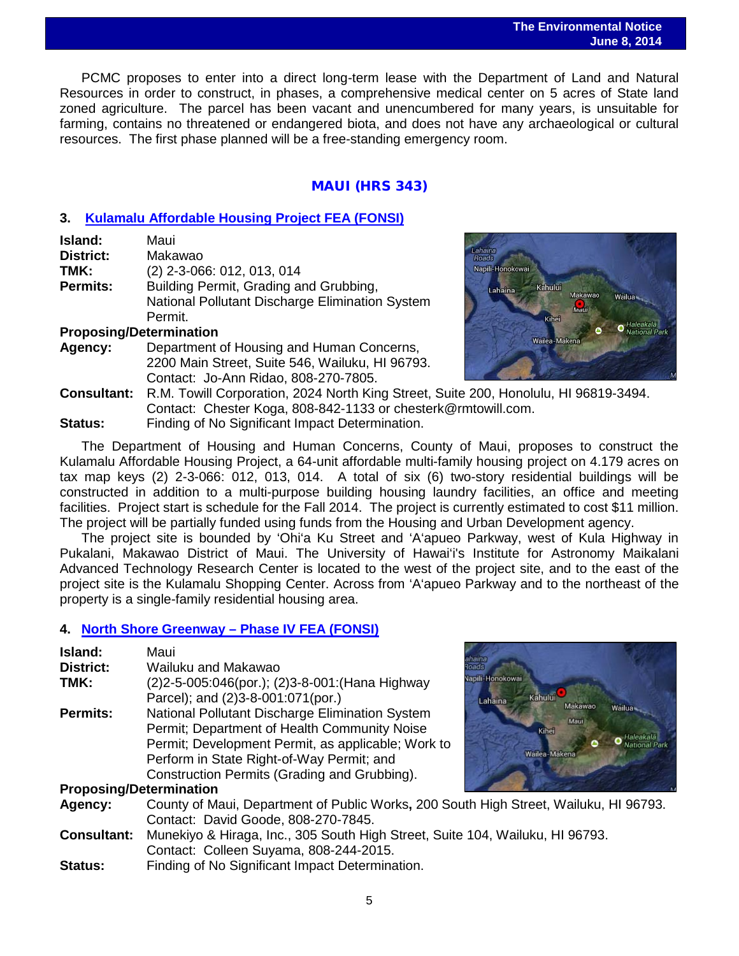### **The Environmental Notice June 8, 2014**

 PCMC proposes to enter into a direct long-term lease with the Department of Land and Natural Resources in order to construct, in phases, a comprehensive medical center on 5 acres of State land zoned agriculture. The parcel has been vacant and unencumbered for many years, is unsuitable for farming, contains no threatened or endangered biota, and does not have any archaeological or cultural resources. The first phase planned will be a free-standing emergency room.

## MAUI (HRS 343)

## **3. [Kulamalu Affordable Housing Project FEA \(FONSI\)](http://oeqc.doh.hawaii.gov/Shared%20Documents/EA_and_EIS_Online_Library/Maui/2010s/2014-06-08-MA-5B-Kulamalu-Affordable-Housing-Project.pdf)**

| Island:          | Maui                                                                                                 |
|------------------|------------------------------------------------------------------------------------------------------|
| <b>District:</b> | Makawao                                                                                              |
| TMK:             | (2) 2-3-066: 012, 013, 014                                                                           |
| <b>Permits:</b>  | Building Permit, Grading and Grubbing,<br>National Pollutant Discharge Elimination System<br>Permit. |

## **Proposing/Determination**

**Agency:** Department of Housing and Human Concerns, 2200 Main Street, Suite 546, Wailuku, HI 96793. Contact: Jo-Ann Ridao, 808-270-7805.



**Consultant:** R.M. Towill Corporation, 2024 North King Street, Suite 200, Honolulu, HI 96819-3494. Contact: Chester Koga, 808-842-1133 or chesterk@rmtowill.com. **Status:** Finding of No Significant Impact Determination.

The Department of Housing and Human Concerns, County of Maui, proposes to construct the Kulamalu Affordable Housing Project, a 64-unit affordable multi-family housing project on 4.179 acres on tax map keys (2) 2-3-066: 012, 013, 014. A total of six (6) two-story residential buildings will be constructed in addition to a multi-purpose building housing laundry facilities, an office and meeting facilities. Project start is schedule for the Fall 2014. The project is currently estimated to cost \$11 million. The project will be partially funded using funds from the Housing and Urban Development agency.

The project site is bounded by 'Ohi'a Ku Street and 'A'apueo Parkway, west of Kula Highway in Pukalani, Makawao District of Maui. The University of Hawai'i's Institute for Astronomy Maikalani Advanced Technology Research Center is located to the west of the project site, and to the east of the project site is the Kulamalu Shopping Center. Across from 'A'apueo Parkway and to the northeast of the property is a single-family residential housing area.

## **4. [North Shore Greenway –](http://oeqc.doh.hawaii.gov/Shared%20Documents/EA_and_EIS_Online_Library/Maui/2010s/2014-06-08-MA-FEA-North-Shore-Greenway-Phase-IV.pdf) Phase IV FEA (FONSI)**

| Island:<br>District:<br>TMK:   | Maui<br>Wailuku and Makawao<br>(2) 2-5-005:046(por.); (2) 3-8-001: (Hana Highway<br>Parcel); and (2)3-8-001:071(por.)                                                                                                                              | ahaina<br>oads<br>Japili-Honokowai<br>Kahului<br>Lahaina |
|--------------------------------|----------------------------------------------------------------------------------------------------------------------------------------------------------------------------------------------------------------------------------------------------|----------------------------------------------------------|
| <b>Permits:</b>                | National Pollutant Discharge Elimination System<br>Permit; Department of Health Community Noise<br>Permit; Development Permit, as applicable; Work to<br>Perform in State Right-of-Way Permit; and<br>Construction Permits (Grading and Grubbing). | Makawao,<br>Wailua-<br>Maui<br>Kinei<br>Wailea-Makena    |
| <b>Proposing/Determination</b> |                                                                                                                                                                                                                                                    |                                                          |
| Agency:                        | County of Maui, Department of Public Works, 200 South High Street, Wailuku, HI 96793.<br>Contact: David Goode, 808-270-7845.                                                                                                                       |                                                          |
| <b>Consultant:</b>             | Munekiyo & Hiraga, Inc., 305 South High Street, Suite 104, Wailuku, HI 96793.<br>Contact: Colleen Suyama, 808-244-2015.                                                                                                                            |                                                          |
| <b>Status:</b>                 | Finding of No Significant Impact Determination.                                                                                                                                                                                                    |                                                          |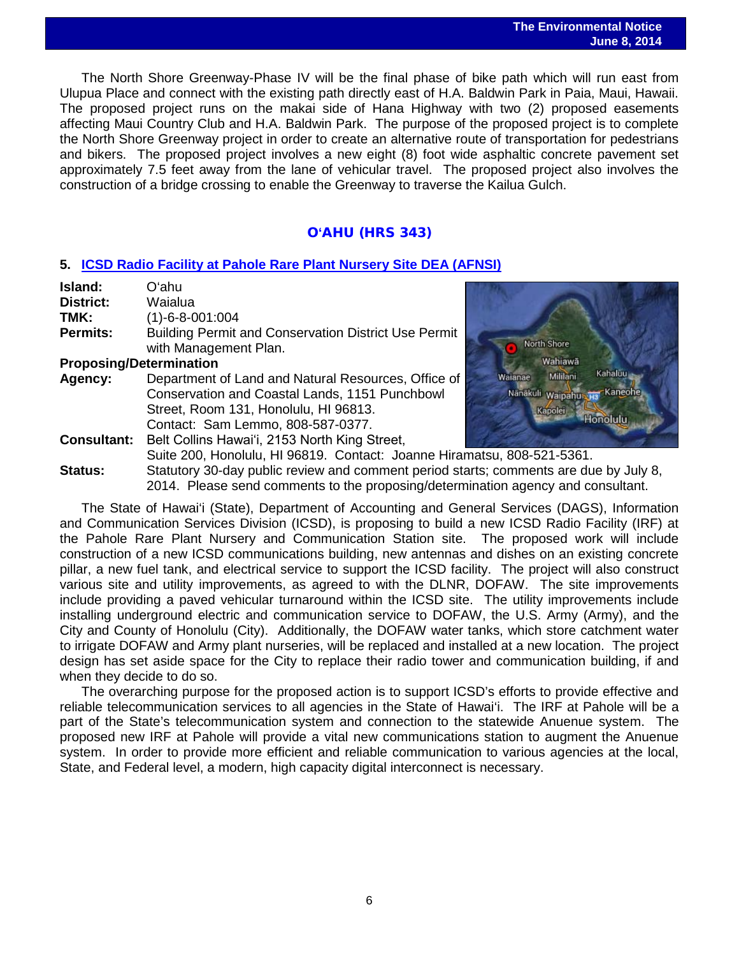### **The Environmental Notice June 8, 2014**

 The North Shore Greenway-Phase IV will be the final phase of bike path which will run east from Ulupua Place and connect with the existing path directly east of H.A. Baldwin Park in Paia, Maui, Hawaii. The proposed project runs on the makai side of Hana Highway with two (2) proposed easements affecting Maui Country Club and H.A. Baldwin Park. The purpose of the proposed project is to complete the North Shore Greenway project in order to create an alternative route of transportation for pedestrians and bikers. The proposed project involves a new eight (8) foot wide asphaltic concrete pavement set approximately 7.5 feet away from the lane of vehicular travel. The proposed project also involves the construction of a bridge crossing to enable the Greenway to traverse the Kailua Gulch.

## O**'**AHU (HRS 343)

## **5. [ICSD Radio Facility at Pahole Rare Plant Nursery Site DEA \(AFNSI\)](http://oeqc.doh.hawaii.gov/Shared%20Documents/EA_and_EIS_Online_Library/Oahu/2010s/2014-06-08-OA-DEA-5B-ICSD-Radio-Facility-at-Pahole-Rare-Plant-Nursery-Site.pdf)**

| Island:                        | Oʻahu.                                                                                |                                       |
|--------------------------------|---------------------------------------------------------------------------------------|---------------------------------------|
| <b>District:</b>               | Waialua                                                                               |                                       |
| TMK:                           | $(1)-6-8-001:004$                                                                     |                                       |
| <b>Permits:</b>                | <b>Building Permit and Conservation District Use Permit</b>                           |                                       |
|                                | with Management Plan.                                                                 | North Shore                           |
| <b>Proposing/Determination</b> |                                                                                       | Wahiawā                               |
| Agency:                        | Department of Land and Natural Resources, Office of                                   | <b>Kahaluu</b><br>Mililani<br>Waianae |
|                                | Conservation and Coastal Lands, 1151 Punchbowl                                        | Kaneohe<br>Nanakuli waipahu           |
|                                | Street, Room 131, Honolulu, HI 96813.                                                 | Kapolei                               |
|                                | Contact: Sam Lemmo, 808-587-0377.                                                     | Honolulu                              |
| <b>Consultant:</b>             | Belt Collins Hawai'i, 2153 North King Street,                                         |                                       |
|                                | Suite 200, Honolulu, HI 96819. Contact: Joanne Hiramatsu, 808-521-5361.               |                                       |
| Status:                        | Statutory 30-day public review and comment period starts: comments are due by July 8. |                                       |

**Status:** Statutory 30-day public review and comment period starts; comments are due by July 8, 2014. Please send comments to the proposing/determination agency and consultant.

The State of Hawai'i (State), Department of Accounting and General Services (DAGS), Information and Communication Services Division (ICSD), is proposing to build a new ICSD Radio Facility (IRF) at the Pahole Rare Plant Nursery and Communication Station site. The proposed work will include construction of a new ICSD communications building, new antennas and dishes on an existing concrete pillar, a new fuel tank, and electrical service to support the ICSD facility. The project will also construct various site and utility improvements, as agreed to with the DLNR, DOFAW. The site improvements include providing a paved vehicular turnaround within the ICSD site. The utility improvements include installing underground electric and communication service to DOFAW, the U.S. Army (Army), and the City and County of Honolulu (City). Additionally, the DOFAW water tanks, which store catchment water to irrigate DOFAW and Army plant nurseries, will be replaced and installed at a new location. The project design has set aside space for the City to replace their radio tower and communication building, if and when they decide to do so.

The overarching purpose for the proposed action is to support ICSD's efforts to provide effective and reliable telecommunication services to all agencies in the State of Hawai'i. The IRF at Pahole will be a part of the State's telecommunication system and connection to the statewide Anuenue system. The proposed new IRF at Pahole will provide a vital new communications station to augment the Anuenue system. In order to provide more efficient and reliable communication to various agencies at the local, State, and Federal level, a modern, high capacity digital interconnect is necessary.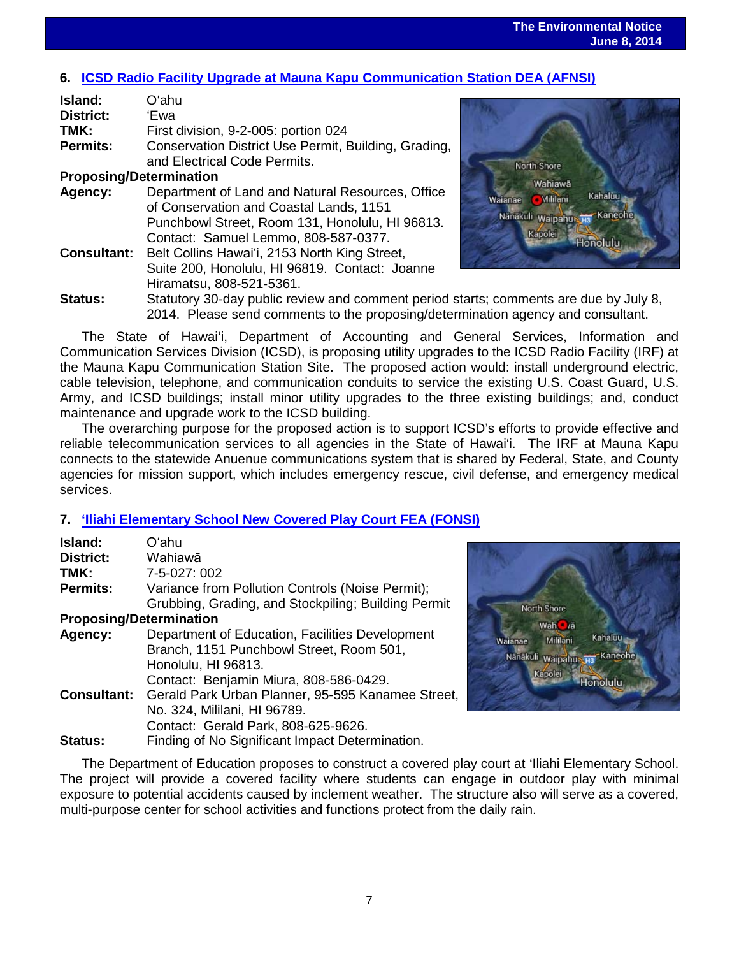# **6. [ICSD Radio Facility Upgrade at Mauna Kapu Communication Station DEA \(AFNSI\)](http://oeqc.doh.hawaii.gov/Shared%20Documents/EA_and_EIS_Online_Library/Oahu/2010s/2014-06-08-OA-DEA-5B-ICSD-Radio-Facility-at-Mauna-Kapu-Communication-Station.pdf)**

| Island:                        | Oʻahu                                                |
|--------------------------------|------------------------------------------------------|
| <b>District:</b>               | 'Ewa                                                 |
| TMK:                           | First division, 9-2-005: portion 024                 |
| <b>Permits:</b>                | Conservation District Use Permit, Building, Grading, |
|                                | and Electrical Code Permits.                         |
| <b>Proposing/Determination</b> |                                                      |
| Agency:                        | Department of Land and Natural Resources, Office     |
|                                | of Conservation and Coastal Lands, 1151              |
|                                | Punchbowl Street, Room 131, Honolulu, HI 96813.      |
|                                | Contact: Samuel Lemmo, 808-587-0377.                 |
| <b>Consultant:</b>             | Belt Collins Hawai'i, 2153 North King Street,        |
|                                | Suite 200, Honolulu, HI 96819. Contact: Joanne       |
|                                | Hiramatsu, 808-521-5361.                             |
| <b>Status:</b>                 | Statutory 30-day public review and comment period s  |



starts: comments are due by July 8, 2014. Please send comments to the proposing/determination agency and consultant.

The State of Hawai'i, Department of Accounting and General Services, Information and Communication Services Division (ICSD), is proposing utility upgrades to the ICSD Radio Facility (IRF) at the Mauna Kapu Communication Station Site. The proposed action would: install underground electric, cable television, telephone, and communication conduits to service the existing U.S. Coast Guard, U.S. Army, and ICSD buildings; install minor utility upgrades to the three existing buildings; and, conduct maintenance and upgrade work to the ICSD building.

The overarching purpose for the proposed action is to support ICSD's efforts to provide effective and reliable telecommunication services to all agencies in the State of Hawai'i. The IRF at Mauna Kapu connects to the statewide Anuenue communications system that is shared by Federal, State, and County agencies for mission support, which includes emergency rescue, civil defense, and emergency medical services.

## **7. ['Iliahi Elementary School New Covered Play Court](http://oeqc.doh.hawaii.gov/Shared%20Documents/EA_and_EIS_Online_Library/Oahu/2010s/2014-06-08-OA-FEA-5B-lliahi-Elementary-School-Covered-Play-Court.pdf) FEA (FONSI)**

| Island:                        | Oʻahu                                               |
|--------------------------------|-----------------------------------------------------|
| <b>District:</b>               | Wahiawā                                             |
| TMK:                           | 7-5-027: 002                                        |
| <b>Permits:</b>                | Variance from Pollution Controls (Noise Permit);    |
|                                | Grubbing, Grading, and Stockpiling; Building Permit |
| <b>Proposing/Determination</b> |                                                     |
| Agency:                        | Department of Education, Facilities Development     |
|                                | Branch, 1151 Punchbowl Street, Room 501,            |
|                                | Honolulu, HI 96813.                                 |
|                                | Contact: Benjamin Miura, 808-586-0429.              |
| <b>Consultant:</b>             | Gerald Park Urban Planner, 95-595 Kanamee Street,   |
|                                | No. 324, Mililani, HI 96789.                        |
|                                | Contact: Gerald Park, 808-625-9626.                 |
| <b>Status:</b>                 | Finding of No Significant Impact Determination.     |



The Department of Education proposes to construct a covered play court at 'Iliahi Elementary School. The project will provide a covered facility where students can engage in outdoor play with minimal exposure to potential accidents caused by inclement weather. The structure also will serve as a covered, multi-purpose center for school activities and functions protect from the daily rain.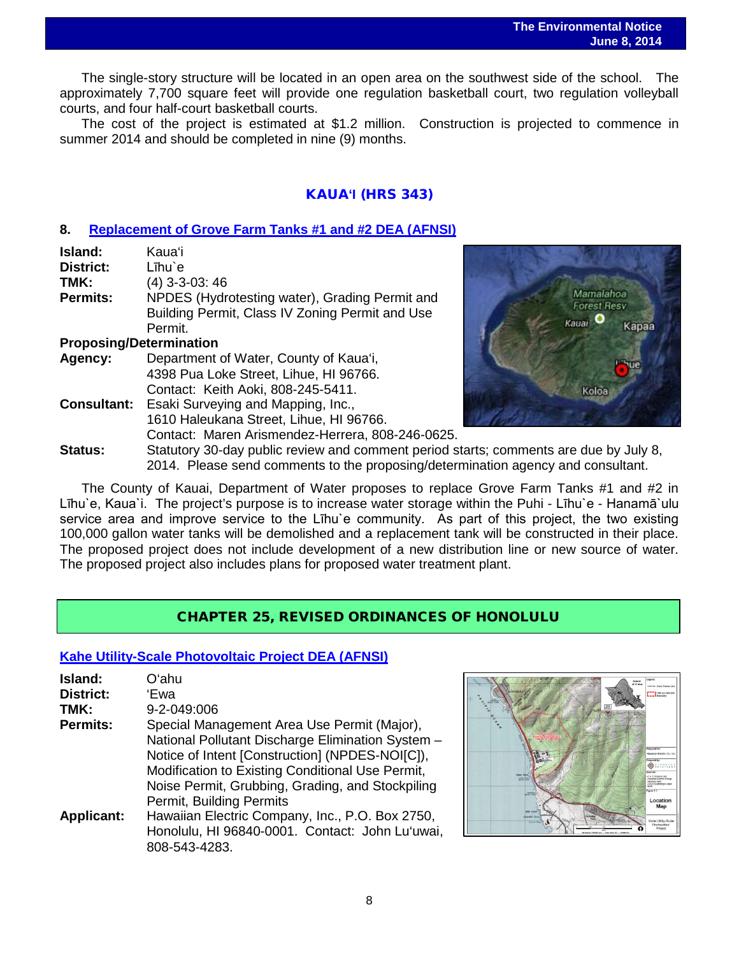The single-story structure will be located in an open area on the southwest side of the school. The approximately 7,700 square feet will provide one regulation basketball court, two regulation volleyball courts, and four half-court basketball courts.

The cost of the project is estimated at \$1.2 million. Construction is projected to commence in summer 2014 and should be completed in nine (9) months.

## KAUA**'I** (HRS 343)

## **8. [Replacement of Grove Farm Tanks #1 and #2 DEA \(AFNSI\)](http://oeqc.doh.hawaii.gov/Shared%20Documents/EA_and_EIS_Online_Library/Kauai/2010s/2014-06-08-KA-DEA-5B-Replacement-of-Grove-Farm-Tanks-1-and-2.pdf)**

| Island:          | <b>Kaua</b> 'i                                  |
|------------------|-------------------------------------------------|
| <b>District:</b> | Līhu`e                                          |
| TMK:             | $(4)$ 3-3-03: 46                                |
| <b>Permits:</b>  | NPDES (Hydrotesting water), Grading Permit and  |
|                  | Building Permit, Class IV Zoning Permit and Use |
|                  | Permit.                                         |
|                  | <b>Proposing/Determination</b>                  |
| Agency:          | Department of Water, County of Kaua'i,          |
|                  | 4398 Pua Loke Street, Lihue, HI 96766.          |
|                  | Contact: Keith Aoki, 808-245-5411.              |

**Consultant:** Esaki Surveying and Mapping, Inc., 1610 Haleukana Street, Lihue, HI 96766. Contact: Maren Arismendez-Herrera, 808-246-0625.



**Status:** Statutory 30-day public review and comment period starts; comments are due by July 8, 2014. Please send comments to the proposing/determination agency and consultant.

The County of Kauai, Department of Water proposes to replace Grove Farm Tanks #1 and #2 in Līhu`e, Kaua`i. The project's purpose is to increase water storage within the Puhi - Līhu`e - Hanamā`ulu service area and improve service to the Lihu'e community. As part of this project, the two existing 100,000 gallon water tanks will be demolished and a replacement tank will be constructed in their place. The proposed project does not include development of a new distribution line or new source of water. The proposed project also includes plans for proposed water treatment plant.

## CHAPTER 25, REVISED ORDINANCES OF HONOLULU

## **[Kahe Utility-Scale Photovoltaic Project](http://oeqc.doh.hawaii.gov/Shared%20Documents/EA_and_EIS_Online_Library/Non-343-EA-EIS-Notices/2014-06-08-Chapter-25-DEA-Kahe-Photovoltaic-Facility-Project.pdf) DEA (AFNSI)**

| Island:<br><b>District:</b> | Oʻahu<br>'Ewa                                                                                                                                                                                                                                                                           |
|-----------------------------|-----------------------------------------------------------------------------------------------------------------------------------------------------------------------------------------------------------------------------------------------------------------------------------------|
| TMK:                        | 9-2-049:006                                                                                                                                                                                                                                                                             |
| <b>Permits:</b>             | Special Management Area Use Permit (Major),<br>National Pollutant Discharge Elimination System -<br>Notice of Intent [Construction] (NPDES-NOI[C]),<br>Modification to Existing Conditional Use Permit,<br>Noise Permit, Grubbing, Grading, and Stockpiling<br>Permit, Building Permits |
| <b>Applicant:</b>           | Hawaiian Electric Company, Inc., P.O. Box 2750,<br>Honolulu, HI 96840-0001. Contact: John Lu'uwai,<br>808-543-4283.                                                                                                                                                                     |

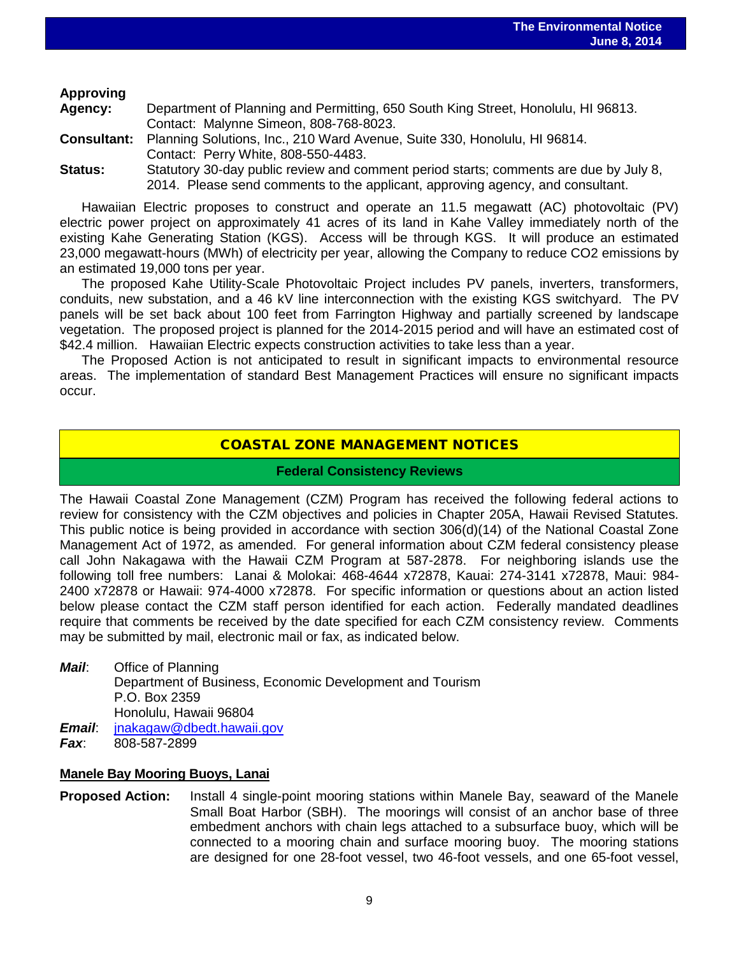## **Approving**

| <b>Agency:</b>     | Department of Planning and Permitting, 650 South King Street, Honolulu, HI 96813.     |
|--------------------|---------------------------------------------------------------------------------------|
|                    | Contact: Malynne Simeon, 808-768-8023.                                                |
| <b>Consultant:</b> | Planning Solutions, Inc., 210 Ward Avenue, Suite 330, Honolulu, HI 96814.             |
|                    | Contact: Perry White, 808-550-4483.                                                   |
| Status:            | Statutory 30-day public review and comment period starts; comments are due by July 8, |
|                    | 2014. Please send comments to the applicant, approving agency, and consultant.        |

Hawaiian Electric proposes to construct and operate an 11.5 megawatt (AC) photovoltaic (PV) electric power project on approximately 41 acres of its land in Kahe Valley immediately north of the existing Kahe Generating Station (KGS). Access will be through KGS. It will produce an estimated 23,000 megawatt-hours (MWh) of electricity per year, allowing the Company to reduce CO2 emissions by an estimated 19,000 tons per year.

The proposed Kahe Utility-Scale Photovoltaic Project includes PV panels, inverters, transformers, conduits, new substation, and a 46 kV line interconnection with the existing KGS switchyard. The PV panels will be set back about 100 feet from Farrington Highway and partially screened by landscape vegetation. The proposed project is planned for the 2014-2015 period and will have an estimated cost of \$42.4 million. Hawaiian Electric expects construction activities to take less than a year.

The Proposed Action is not anticipated to result in significant impacts to environmental resource areas. The implementation of standard Best Management Practices will ensure no significant impacts occur.

## COASTAL ZONE MANAGEMENT NOTICES

## **Federal Consistency Reviews**

The Hawaii Coastal Zone Management (CZM) Program has received the following federal actions to review for consistency with the CZM objectives and policies in Chapter 205A, Hawaii Revised Statutes. This public notice is being provided in accordance with section 306(d)(14) of the National Coastal Zone Management Act of 1972, as amended. For general information about CZM federal consistency please call John Nakagawa with the Hawaii CZM Program at 587-2878. For neighboring islands use the following toll free numbers: Lanai & Molokai: 468-4644 x72878, Kauai: 274-3141 x72878, Maui: 984- 2400 x72878 or Hawaii: 974-4000 x72878. For specific information or questions about an action listed below please contact the CZM staff person identified for each action. Federally mandated deadlines require that comments be received by the date specified for each CZM consistency review. Comments may be submitted by mail, electronic mail or fax, as indicated below.

*Mail*: Office of Planning Department of Business, Economic Development and Tourism P.O. Box 2359 Honolulu, Hawaii 96804 *Email*: [jnakagaw@dbedt.hawaii.gov](mailto:jnakagaw@dbedt.hawaii.gov) *Fax*: 808-587-2899

## **Manele Bay Mooring Buoys, Lanai**

**Proposed Action:** Install 4 single-point mooring stations within Manele Bay, seaward of the Manele Small Boat Harbor (SBH). The moorings will consist of an anchor base of three embedment anchors with chain legs attached to a subsurface buoy, which will be connected to a mooring chain and surface mooring buoy. The mooring stations are designed for one 28-foot vessel, two 46-foot vessels, and one 65-foot vessel,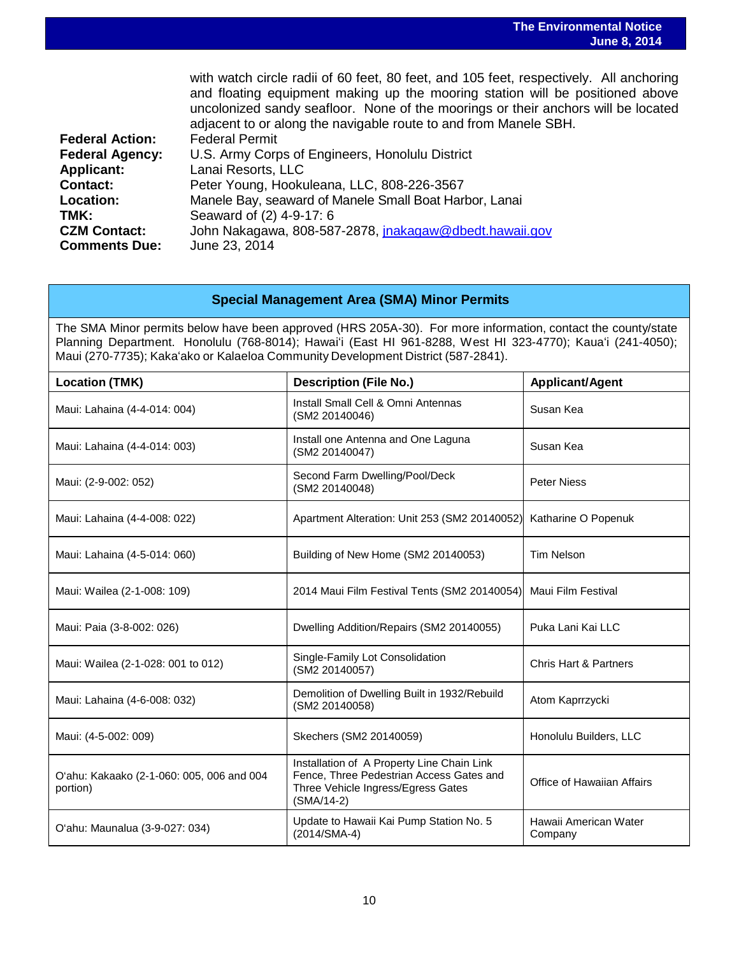|                                             | with watch circle radii of 60 feet, 80 feet, and 105 feet, respectively. All anchoring<br>and floating equipment making up the mooring station will be positioned above<br>uncolonized sandy seafloor. None of the moorings or their anchors will be located<br>adjacent to or along the navigable route to and from Manele SBH. |
|---------------------------------------------|----------------------------------------------------------------------------------------------------------------------------------------------------------------------------------------------------------------------------------------------------------------------------------------------------------------------------------|
| <b>Federal Action:</b>                      | <b>Federal Permit</b>                                                                                                                                                                                                                                                                                                            |
| <b>Federal Agency:</b>                      | U.S. Army Corps of Engineers, Honolulu District                                                                                                                                                                                                                                                                                  |
| <b>Applicant:</b>                           | Lanai Resorts, LLC                                                                                                                                                                                                                                                                                                               |
| Contact:                                    | Peter Young, Hookuleana, LLC, 808-226-3567                                                                                                                                                                                                                                                                                       |
| Location:                                   | Manele Bay, seaward of Manele Small Boat Harbor, Lanai                                                                                                                                                                                                                                                                           |
| TMK:                                        | Seaward of (2) 4-9-17: 6                                                                                                                                                                                                                                                                                                         |
| <b>CZM Contact:</b><br><b>Comments Due:</b> | John Nakagawa, 808-587-2878, <i>jnakagaw@dbedt.hawaji.gov</i><br>June 23, 2014                                                                                                                                                                                                                                                   |

## **Special Management Area (SMA) Minor Permits**

The SMA Minor permits below have been approved (HRS 205A-30). For more information, contact the county/state Planning Department. Honolulu (768-8014); Hawaiʻi (East HI 961-8288, West HI 323-4770); Kauaʻi (241-4050); Maui (270-7735); Kakaʻako or Kalaeloa Community Development District (587-2841).

| <b>Location (TMK)</b>                                 | <b>Description (File No.)</b>                                                                                                                | <b>Applicant/Agent</b>           |
|-------------------------------------------------------|----------------------------------------------------------------------------------------------------------------------------------------------|----------------------------------|
| Maui: Lahaina (4-4-014: 004)                          | Install Small Cell & Omni Antennas<br>(SM2 20140046)                                                                                         | Susan Kea                        |
| Maui: Lahaina (4-4-014: 003)                          | Install one Antenna and One Laguna<br>(SM2 20140047)                                                                                         | Susan Kea                        |
| Maui: (2-9-002: 052)                                  | Second Farm Dwelling/Pool/Deck<br>(SM2 20140048)                                                                                             | <b>Peter Niess</b>               |
| Maui: Lahaina (4-4-008: 022)                          | Apartment Alteration: Unit 253 (SM2 20140052)                                                                                                | Katharine O Popenuk              |
| Maui: Lahaina (4-5-014: 060)                          | Building of New Home (SM2 20140053)                                                                                                          | <b>Tim Nelson</b>                |
| Maui: Wailea (2-1-008: 109)                           | 2014 Maui Film Festival Tents (SM2 20140054)                                                                                                 | Maui Film Festival               |
| Maui: Paia (3-8-002: 026)                             | Dwelling Addition/Repairs (SM2 20140055)                                                                                                     | Puka Lani Kai LLC                |
| Maui: Wailea (2-1-028: 001 to 012)                    | Single-Family Lot Consolidation<br>(SM2 20140057)                                                                                            | <b>Chris Hart &amp; Partners</b> |
| Maui: Lahaina (4-6-008: 032)                          | Demolition of Dwelling Built in 1932/Rebuild<br>(SM2 20140058)                                                                               | Atom Kaprrzycki                  |
| Maui: (4-5-002: 009)                                  | Skechers (SM2 20140059)                                                                                                                      | Honolulu Builders, LLC           |
| O'ahu: Kakaako (2-1-060: 005, 006 and 004<br>portion) | Installation of A Property Line Chain Link<br>Fence, Three Pedestrian Access Gates and<br>Three Vehicle Ingress/Egress Gates<br>$(SMA/14-2)$ | Office of Hawaiian Affairs       |
| O'ahu: Maunalua (3-9-027: 034)                        | Update to Hawaii Kai Pump Station No. 5<br>(2014/SMA-4)                                                                                      | Hawaii American Water<br>Company |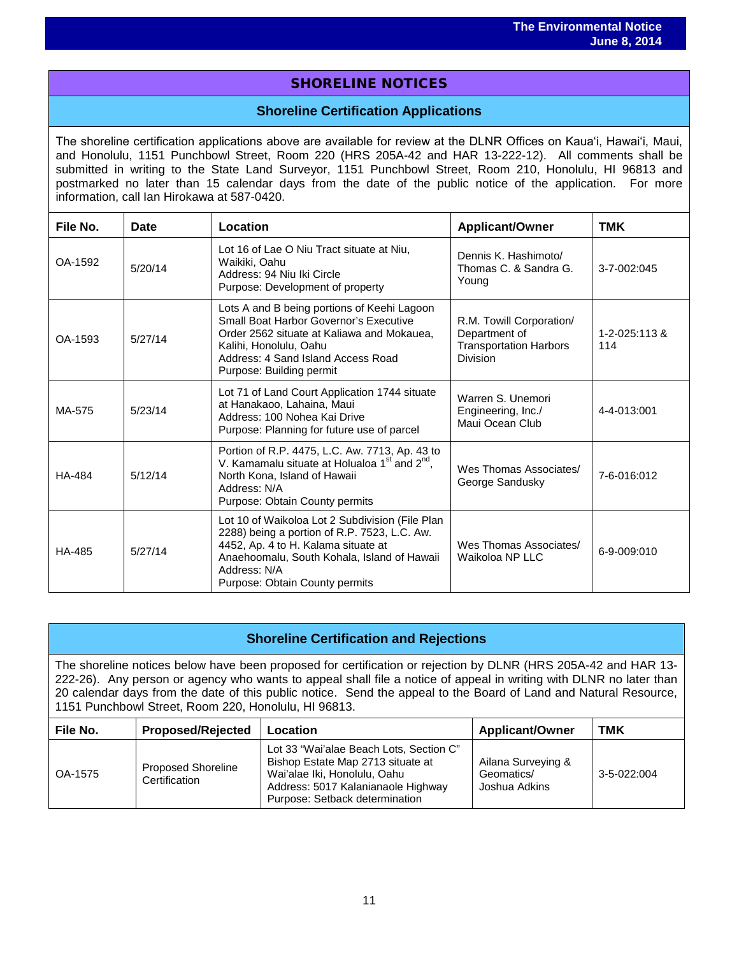## SHORELINE NOTICES

## **Shoreline Certification Applications**

The shoreline certification applications above are available for review at the DLNR Offices on Kauaʻi, Hawaiʻi, Maui, and Honolulu, 1151 Punchbowl Street, Room 220 (HRS 205A-42 and HAR 13-222-12). All comments shall be submitted in writing to the State Land Surveyor, 1151 Punchbowl Street, Room 210, Honolulu, HI 96813 and postmarked no later than 15 calendar days from the date of the public notice of the application. For more information, call Ian Hirokawa at 587-0420.

| File No.      | Date    | Location                                                                                                                                                                                                                                | <b>Applicant/Owner</b>                                                                 | <b>TMK</b>           |
|---------------|---------|-----------------------------------------------------------------------------------------------------------------------------------------------------------------------------------------------------------------------------------------|----------------------------------------------------------------------------------------|----------------------|
| OA-1592       | 5/20/14 | Lot 16 of Lae O Niu Tract situate at Niu,<br>Waikiki, Oahu<br>Address: 94 Niu Iki Circle<br>Purpose: Development of property                                                                                                            | Dennis K. Hashimoto/<br>Thomas C. & Sandra G.<br>Young                                 | 3-7-002:045          |
| OA-1593       | 5/27/14 | Lots A and B being portions of Keehi Lagoon<br>Small Boat Harbor Governor's Executive<br>Order 2562 situate at Kaliawa and Mokauea,<br>Kalihi, Honolulu, Oahu<br>Address: 4 Sand Island Access Road<br>Purpose: Building permit         | R.M. Towill Corporation/<br>Department of<br><b>Transportation Harbors</b><br>Division | 1-2-025:113 &<br>114 |
| MA-575        | 5/23/14 | Lot 71 of Land Court Application 1744 situate<br>at Hanakaoo, Lahaina, Maui<br>Address: 100 Nohea Kai Drive<br>Purpose: Planning for future use of parcel                                                                               | Warren S. Unemori<br>Engineering, Inc./<br>Maui Ocean Club                             | 4-4-013:001          |
| <b>HA-484</b> | 5/12/14 | Portion of R.P. 4475, L.C. Aw. 7713, Ap. 43 to<br>V. Kamamalu situate at Holualoa 1 <sup>st</sup> and 2 <sup>nd</sup> ,<br>North Kona, Island of Hawaii<br>Address: N/A<br>Purpose: Obtain County permits                               | Wes Thomas Associates/<br>George Sandusky                                              | 7-6-016:012          |
| HA-485        | 5/27/14 | Lot 10 of Waikoloa Lot 2 Subdivision (File Plan<br>2288) being a portion of R.P. 7523, L.C. Aw.<br>4452, Ap. 4 to H. Kalama situate at<br>Anaehoomalu, South Kohala, Island of Hawaii<br>Address: N/A<br>Purpose: Obtain County permits | Wes Thomas Associates/<br>Waikoloa NP LLC                                              | 6-9-009:010          |

# **Shoreline Certification and Rejections**

The shoreline notices below have been proposed for certification or rejection by DLNR (HRS 205A-42 and HAR 13- 222-26). Any person or agency who wants to appeal shall file a notice of appeal in writing with DLNR no later than 20 calendar days from the date of this public notice. Send the appeal to the Board of Land and Natural Resource, 1151 Punchbowl Street, Room 220, Honolulu, HI 96813.

| File No. | <b>Proposed/Rejected</b>                   | Location                                                                                                                                                                             | <b>Applicant/Owner</b>                            | тмк         |
|----------|--------------------------------------------|--------------------------------------------------------------------------------------------------------------------------------------------------------------------------------------|---------------------------------------------------|-------------|
| OA-1575  | <b>Proposed Shoreline</b><br>Certification | Lot 33 "Wai'alae Beach Lots, Section C"<br>Bishop Estate Map 2713 situate at<br>Wai'alae Iki, Honolulu, Oahu<br>Address: 5017 Kalanianaole Highway<br>Purpose: Setback determination | Ailana Surveying &<br>Geomatics/<br>Joshua Adkins | 3-5-022:004 |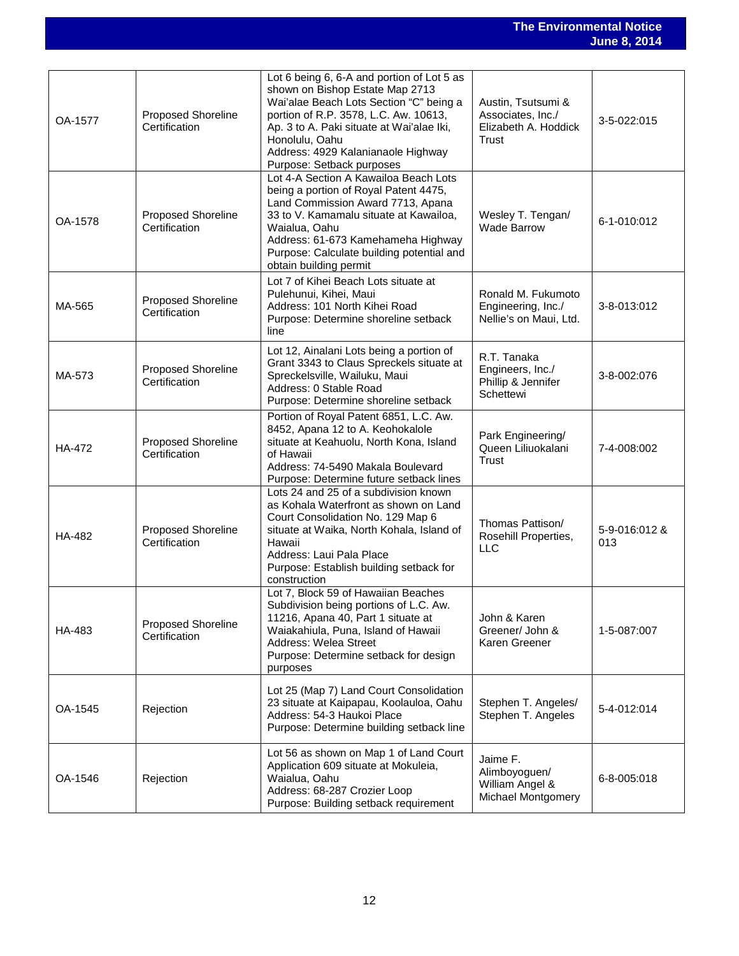### **The Environmental Notice June 8, 2014**

| OA-1577       | <b>Proposed Shoreline</b><br>Certification | Lot 6 being 6, 6-A and portion of Lot 5 as<br>shown on Bishop Estate Map 2713<br>Wai'alae Beach Lots Section "C" being a<br>portion of R.P. 3578, L.C. Aw. 10613,<br>Ap. 3 to A. Paki situate at Wai'alae Iki,<br>Honolulu, Oahu<br>Address: 4929 Kalanianaole Highway<br>Purpose: Setback purposes | Austin, Tsutsumi &<br>Associates, Inc./<br>Elizabeth A. Hoddick<br>Trust | 3-5-022:015          |
|---------------|--------------------------------------------|-----------------------------------------------------------------------------------------------------------------------------------------------------------------------------------------------------------------------------------------------------------------------------------------------------|--------------------------------------------------------------------------|----------------------|
| OA-1578       | Proposed Shoreline<br>Certification        | Lot 4-A Section A Kawailoa Beach Lots<br>being a portion of Royal Patent 4475,<br>Land Commission Award 7713, Apana<br>33 to V. Kamamalu situate at Kawailoa,<br>Waialua, Oahu<br>Address: 61-673 Kamehameha Highway<br>Purpose: Calculate building potential and<br>obtain building permit         | Wesley T. Tengan/<br><b>Wade Barrow</b>                                  | 6-1-010:012          |
| MA-565        | <b>Proposed Shoreline</b><br>Certification | Lot 7 of Kihei Beach Lots situate at<br>Pulehunui, Kihei, Maui<br>Address: 101 North Kihei Road<br>Purpose: Determine shoreline setback<br>line                                                                                                                                                     | Ronald M. Fukumoto<br>Engineering, Inc./<br>Nellie's on Maui, Ltd.       | 3-8-013:012          |
| MA-573        | Proposed Shoreline<br>Certification        | Lot 12, Ainalani Lots being a portion of<br>Grant 3343 to Claus Spreckels situate at<br>Spreckelsville, Wailuku, Maui<br>Address: 0 Stable Road<br>Purpose: Determine shoreline setback                                                                                                             | R.T. Tanaka<br>Engineers, Inc./<br>Phillip & Jennifer<br>Schettewi       | 3-8-002:076          |
| HA-472        | <b>Proposed Shoreline</b><br>Certification | Portion of Royal Patent 6851, L.C. Aw.<br>8452, Apana 12 to A. Keohokalole<br>situate at Keahuolu, North Kona, Island<br>of Hawaii<br>Address: 74-5490 Makala Boulevard<br>Purpose: Determine future setback lines                                                                                  | Park Engineering/<br>Queen Liliuokalani<br><b>Trust</b>                  | 7-4-008:002          |
| <b>HA-482</b> | Proposed Shoreline<br>Certification        | Lots 24 and 25 of a subdivision known<br>as Kohala Waterfront as shown on Land<br>Court Consolidation No. 129 Map 6<br>situate at Waika, North Kohala, Island of<br>Hawaii<br>Address: Laui Pala Place<br>Purpose: Establish building setback for<br>construction                                   | Thomas Pattison/<br>Rosehill Properties,<br><b>LLC</b>                   | 5-9-016:012 &<br>013 |
| HA-483        | <b>Proposed Shoreline</b><br>Certification | Lot 7, Block 59 of Hawaiian Beaches<br>Subdivision being portions of L.C. Aw.<br>11216, Apana 40, Part 1 situate at<br>Waiakahiula, Puna, Island of Hawaii<br>Address: Welea Street<br>Purpose: Determine setback for design<br>purposes                                                            | John & Karen<br>Greener/ John &<br>Karen Greener                         | 1-5-087:007          |
| OA-1545       | Rejection                                  | Lot 25 (Map 7) Land Court Consolidation<br>23 situate at Kaipapau, Koolauloa, Oahu<br>Address: 54-3 Haukoi Place<br>Purpose: Determine building setback line                                                                                                                                        | Stephen T. Angeles/<br>Stephen T. Angeles                                | 5-4-012:014          |
| OA-1546       | Rejection                                  | Lot 56 as shown on Map 1 of Land Court<br>Application 609 situate at Mokuleia,<br>Waialua, Oahu<br>Address: 68-287 Crozier Loop<br>Purpose: Building setback requirement                                                                                                                            | Jaime F.<br>Alimboyoguen/<br>William Angel &<br>Michael Montgomery       | 6-8-005:018          |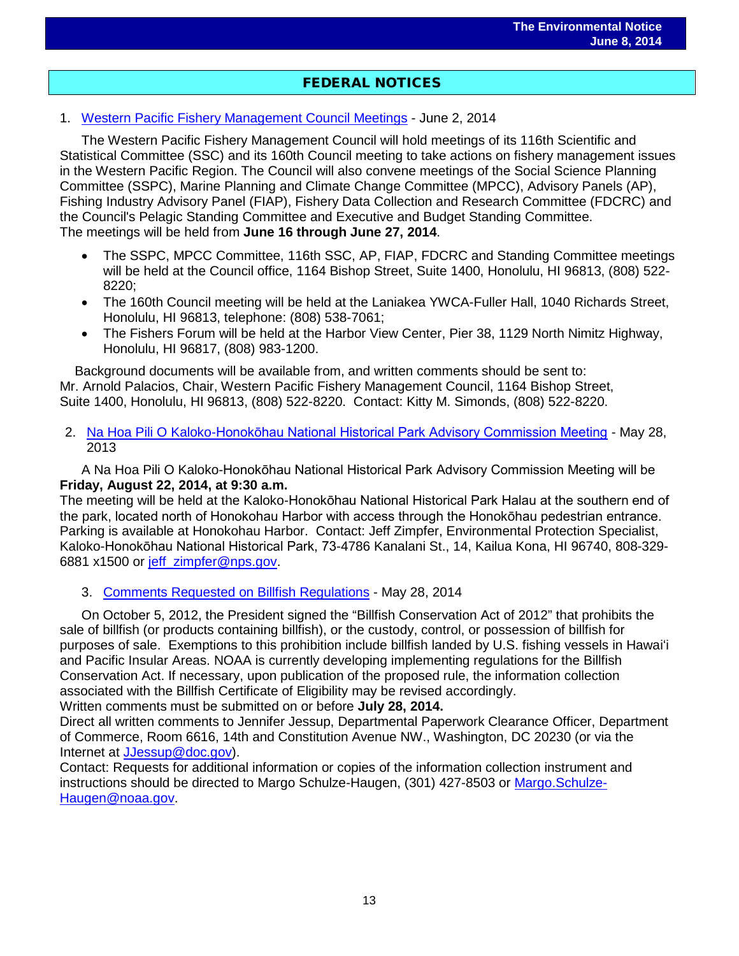## FEDERAL NOTICES

1. [Western Pacific Fishery Management Council Meetings](http://www.gpo.gov/fdsys/pkg/FR-2014-06-02/pdf/2014-12615.pdf) - June 2, 2014

The Western Pacific Fishery Management Council will hold meetings of its 116th Scientific and Statistical Committee (SSC) and its 160th Council meeting to take actions on fishery management issues in the Western Pacific Region. The Council will also convene meetings of the Social Science Planning Committee (SSPC), Marine Planning and Climate Change Committee (MPCC), Advisory Panels (AP), Fishing Industry Advisory Panel (FIAP), Fishery Data Collection and Research Committee (FDCRC) and the Council's Pelagic Standing Committee and Executive and Budget Standing Committee. The meetings will be held from **June 16 through June 27, 2014**.

- The SSPC, MPCC Committee, 116th SSC, AP, FIAP, FDCRC and Standing Committee meetings will be held at the Council office, 1164 Bishop Street, Suite 1400, Honolulu, HI 96813, (808) 522- 8220;
- The 160th Council meeting will be held at the Laniakea YWCA-Fuller Hall, 1040 Richards Street, Honolulu, HI 96813, telephone: (808) 538-7061;
- The Fishers Forum will be held at the Harbor View Center, Pier 38, 1129 North Nimitz Highway, Honolulu, HI 96817, (808) 983-1200.

 Background documents will be available from, and written comments should be sent to: Mr. Arnold Palacios, Chair, Western Pacific Fishery Management Council, 1164 Bishop Street, Suite 1400, Honolulu, HI 96813, (808) 522-8220. Contact: Kitty M. Simonds, (808) 522-8220.

2. Na Hoa Pili O Kaloko-[Honokōhau National Historical Park Advisory Commission Meeting](http://www.gpo.gov/fdsys/pkg/FR-2014-05-28/pdf/2014-12305.pdf) - May 28, 2013

A Na Hoa Pili O Kaloko-Honokōhau National Historical Park Advisory Commission Meeting will be **Friday, August 22, 2014, at 9:30 a.m.**

The meeting will be held at the Kaloko-Honokōhau National Historical Park Halau at the southern end of the park, located north of Honokohau Harbor with access through the Honokōhau pedestrian entrance. Parking is available at Honokohau Harbor. Contact: Jeff Zimpfer, Environmental Protection Specialist, Kaloko-Honokōhau National Historical Park, 73-4786 Kanalani St., 14, Kailua Kona, HI 96740, 808-329- 6881 x1500 or [jeff\\_zimpfer@nps.gov.](mailto:jeff_zimpfer@nps.gov)

## 3. [Comments Requested on Billfish Regulations](http://www.gpo.gov/fdsys/pkg/FR-2014-05-28/pdf/2014-12343.pdf) - May 28, 2014

On October 5, 2012, the President signed the "Billfish Conservation Act of 2012" that prohibits the sale of billfish (or products containing billfish), or the custody, control, or possession of billfish for purposes of sale. Exemptions to this prohibition include billfish landed by U.S. fishing vessels in Hawaiʻi and Pacific Insular Areas. NOAA is currently developing implementing regulations for the Billfish Conservation Act. If necessary, upon publication of the proposed rule, the information collection associated with the Billfish Certificate of Eligibility may be revised accordingly.

Written comments must be submitted on or before **July 28, 2014.**

Direct all written comments to Jennifer Jessup, Departmental Paperwork Clearance Officer, Department of Commerce, Room 6616, 14th and Constitution Avenue NW., Washington, DC 20230 (or via the Internet at [JJessup@doc.gov\)](mailto:JJessup@doc.gov).

Contact: Requests for additional information or copies of the information collection instrument and instructions should be directed to Margo Schulze-Haugen, (301) 427-8503 or [Margo.Schulze-](mailto:Margo.Schulze-Haugen@noaa.gov)[Haugen@noaa.gov.](mailto:Margo.Schulze-Haugen@noaa.gov)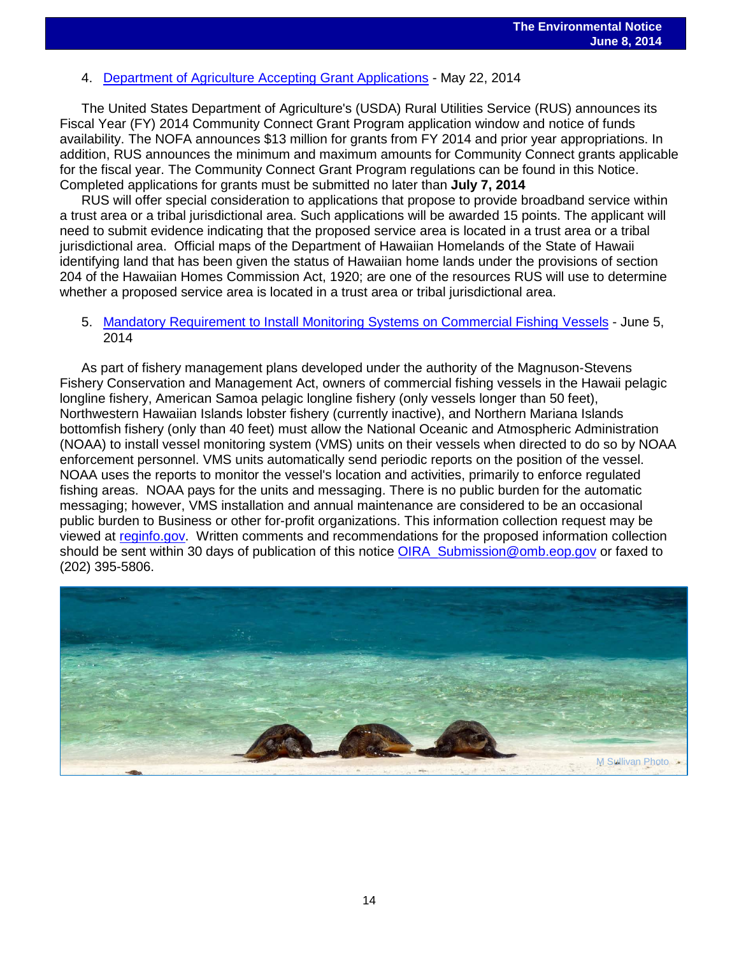# 4. [Department of Agriculture Accepting Grant Applications](http://www.gpo.gov/fdsys/pkg/FR-2014-05-22/pdf/2014-11704.pdf) - May 22, 2014

The United States Department of Agriculture's (USDA) Rural Utilities Service (RUS) announces its Fiscal Year (FY) 2014 Community Connect Grant Program application window and notice of funds availability. The NOFA announces \$13 million for grants from FY 2014 and prior year appropriations. In addition, RUS announces the minimum and maximum amounts for Community Connect grants applicable for the fiscal year. The Community Connect Grant Program regulations can be found in this Notice. Completed applications for grants must be submitted no later than **July 7, 2014**

RUS will offer special consideration to applications that propose to provide broadband service within a trust area or a tribal jurisdictional area. Such applications will be awarded 15 points. The applicant will need to submit evidence indicating that the proposed service area is located in a trust area or a tribal jurisdictional area. Official maps of the Department of Hawaiian Homelands of the State of Hawaii identifying land that has been given the status of Hawaiian home lands under the provisions of section 204 of the Hawaiian Homes Commission Act, 1920; are one of the resources RUS will use to determine whether a proposed service area is located in a trust area or tribal jurisdictional area.

## 5. [Mandatory Requirement to Install Monitoring Systems on Commercial Fishing Vessels](http://www.gpo.gov/fdsys/pkg/FR-2014-06-05/pdf/2014-13021.pdf) - June 5, 2014

As part of fishery management plans developed under the authority of the Magnuson-Stevens Fishery Conservation and Management Act, owners of commercial fishing vessels in the Hawaii pelagic longline fishery, American Samoa pelagic longline fishery (only vessels longer than 50 feet), Northwestern Hawaiian Islands lobster fishery (currently inactive), and Northern Mariana Islands bottomfish fishery (only than 40 feet) must allow the National Oceanic and Atmospheric Administration (NOAA) to install vessel monitoring system (VMS) units on their vessels when directed to do so by NOAA enforcement personnel. VMS units automatically send periodic reports on the position of the vessel. NOAA uses the reports to monitor the vessel's location and activities, primarily to enforce regulated fishing areas. NOAA pays for the units and messaging. There is no public burden for the automatic messaging; however, VMS installation and annual maintenance are considered to be an occasional public burden to Business or other for-profit organizations. This information collection request may be viewed at [reginfo.gov.](http://reginfo.gov/) Written comments and recommendations for the proposed information collection should be sent within 30 days of publication of this notice OIRA Submission@omb.eop.gov or faxed to (202) 395-5806.